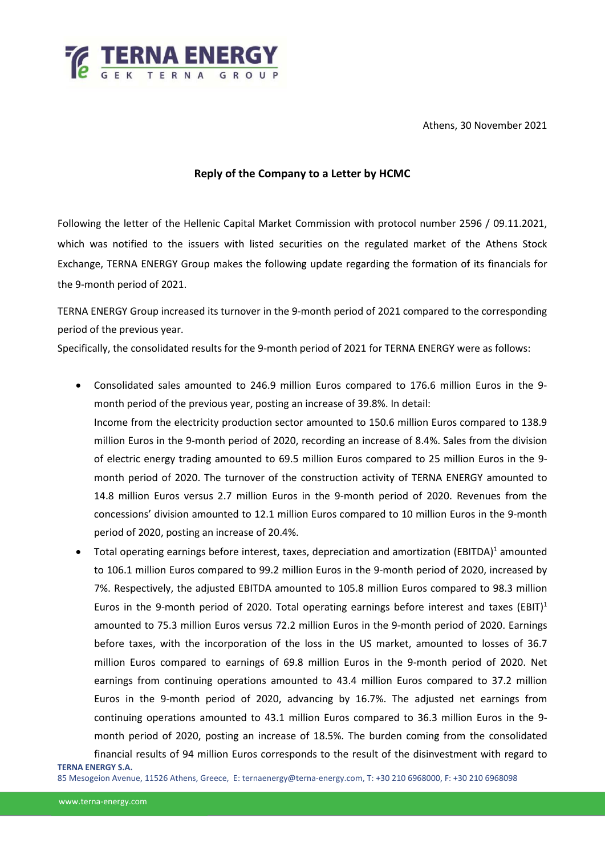

Athens, 30 November 2021

## **Reply of the Company to a Letter by HCMC**

Following the letter of the Hellenic Capital Market Commission with protocol number 2596 / 09.11.2021, which was notified to the issuers with listed securities on the regulated market of the Athens Stock Exchange, TERNA ENERGY Group makes the following update regarding the formation of its financials for the 9-month period of 2021.

TERNA ENERGY Group increased its turnover in the 9-month period of 2021 compared to the corresponding period of the previous year.

Specifically, the consolidated results for the 9-month period of 2021 for TERNA ENERGY were as follows:

- Consolidated sales amounted to 246.9 million Euros compared to 176.6 million Euros in the 9 month period of the previous year, posting an increase of 39.8%. In detail: Income from the electricity production sector amounted to 150.6 million Euros compared to 138.9 million Euros in the 9-month period of 2020, recording an increase of 8.4%. Sales from the division of electric energy trading amounted to 69.5 million Euros compared to 25 million Euros in the 9 month period of 2020. The turnover of the construction activity of TERNA ENERGY amounted to 14.8 million Euros versus 2.7 million Euros in the 9-month period of 2020. Revenues from the concessions' division amounted to 12.1 million Euros compared to 10 million Euros in the 9-month period of 2020, posting an increase of 20.4%.
- Total operating earnings before interest, taxes, depreciation and amortization (EBITDA)<sup>1</sup> amounted to 106.1 million Euros compared to 99.2 million Euros in the 9-month period of 2020, increased by 7%. Respectively, the adjusted EBITDA amounted to 105.8 million Euros compared to 98.3 million Euros in the 9-month period of 2020. Total operating earnings before interest and taxes (EBIT)<sup>1</sup> amounted to 75.3 million Euros versus 72.2 million Euros in the 9-month period of 2020. Earnings before taxes, with the incorporation of the loss in the US market, amounted to losses of 36.7 million Euros compared to earnings of 69.8 million Euros in the 9-month period of 2020. Net earnings from continuing operations amounted to 43.4 million Euros compared to 37.2 million Euros in the 9-month period of 2020, advancing by 16.7%. The adjusted net earnings from continuing operations amounted to 43.1 million Euros compared to 36.3 million Euros in the 9 month period of 2020, posting an increase of 18.5%. The burden coming from the consolidated financial results of 94 million Euros corresponds to the result of the disinvestment with regard to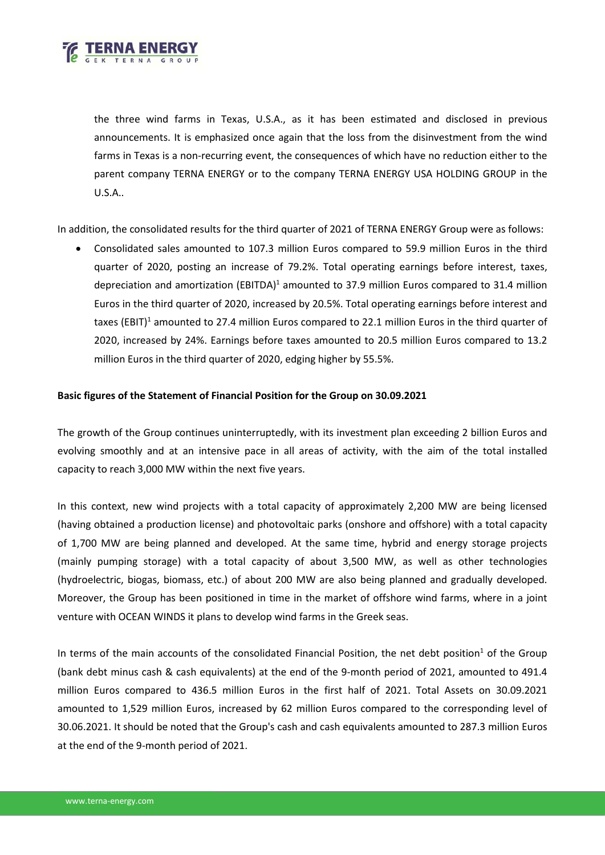

the three wind farms in Texas, U.S.A., as it has been estimated and disclosed in previous announcements. It is emphasized once again that the loss from the disinvestment from the wind farms in Texas is a non-recurring event, the consequences of which have no reduction either to the parent company TERNA ENERGY or to the company TERNA ENERGY USA HOLDING GROUP in the U.S.A..

In addition, the consolidated results for the third quarter of 2021 of TERNA ENERGY Group were as follows:

• Consolidated sales amounted to 107.3 million Euros compared to 59.9 million Euros in the third quarter of 2020, posting an increase of 79.2%. Total operating earnings before interest, taxes, depreciation and amortization (EBITDA)<sup>1</sup> amounted to 37.9 million Euros compared to 31.4 million Euros in the third quarter of 2020, increased by 20.5%. Total operating earnings before interest and taxes (EBIT)<sup>1</sup> amounted to 27.4 million Euros compared to 22.1 million Euros in the third quarter of 2020, increased by 24%. Earnings before taxes amounted to 20.5 million Euros compared to 13.2 million Euros in the third quarter of 2020, edging higher by 55.5%.

## **Basic figures of the Statement of Financial Position for the Group on 30.09.2021**

The growth of the Group continues uninterruptedly, with its investment plan exceeding 2 billion Euros and evolving smoothly and at an intensive pace in all areas of activity, with the aim of the total installed capacity to reach 3,000 MW within the next five years.

In this context, new wind projects with a total capacity of approximately 2,200 MW are being licensed (having obtained a production license) and photovoltaic parks (onshore and offshore) with a total capacity of 1,700 MW are being planned and developed. At the same time, hybrid and energy storage projects (mainly pumping storage) with a total capacity of about 3,500 MW, as well as other technologies (hydroelectric, biogas, biomass, etc.) of about 200 MW are also being planned and gradually developed. Moreover, the Group has been positioned in time in the market of offshore wind farms, where in a joint venture with OCEAN WINDS it plans to develop wind farms in the Greek seas.

In terms of the main accounts of the consolidated Financial Position, the net debt position<sup>1</sup> of the Group (bank debt minus cash & cash equivalents) at the end of the 9-month period of 2021, amounted to 491.4 million Euros compared to 436.5 million Euros in the first half of 2021. Total Assets on 30.09.2021 amounted to 1,529 million Euros, increased by 62 million Euros compared to the corresponding level of 30.06.2021. It should be noted that the Group's cash and cash equivalents amounted to 287.3 million Euros at the end of the 9-month period of 2021.